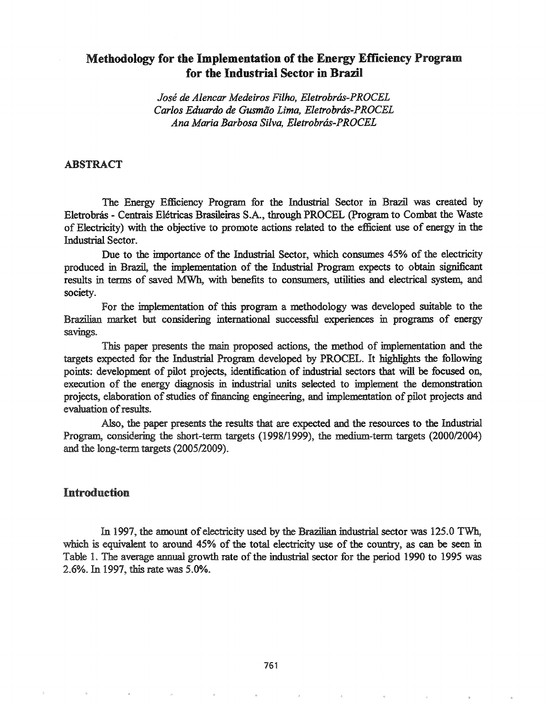# Methodology for the Implementation of the Energy Efficiency Program for the Industrial Sector in Brazil

*Jose de Alencar Medeiros Filho, Eletrobras-PROCEL Carlos Eduardo de Gusmao Lima, Eletrobras-PROCEL Ana Maria Barbosa Silva, Eletrobras-PROCEL*

#### ABSTRACT

The Energy Efficiency Program for the Industrial Sector in Brazil was created by Eletrobrás - Centrais Elétricas Brasileiras S.A., through PROCEL (Program to Combat the Waste of Electricity) with the objective to promote actions related to the efficient use of energy in the Industrial Sector.

Due to the importance of the Industrial Sector, which consumes 45% of the electricity produced in Brazil, the implementation of the Industrial Program expects to obtain significant results in terms of saved MWh, with benefits to consumers, utilities and electrical system, and society.

For the implementation of this program a methodology was developed suitable to the Brazilian market but considering international successful experiences in programs of energy savings.

This paper presents the main proposed actions, the method of implementation and the targets expected for the Industrial Program developed by PROCEL. It highlights the following points: development of pilot projects, identification of industrial sectors that will be focused on, execution of the energy diagnosis in industrial units selected to implement the demonstration projects, elaboration of studies of financing engineering, and implementation of pilot projects and evaluation of results.

Also, the paper presents the results that are expected and the resources to the Industrial Program, considering the short-term targets (1998/1999), the medium-term targets (2000/2004) and the long-term targets  $(2005/2009)$ .

### Introduction

In 1997, the amount of electricity used by the Brazilian industrial sector was 125.0 TWh, which is equivalent to around 45% of the total electricity use of the country, as can be seen in Table 1. The average annual growth rate of the industrial sector for the period 1990 to 1995 was 2.6%. In 1997, this rate was 5.0%.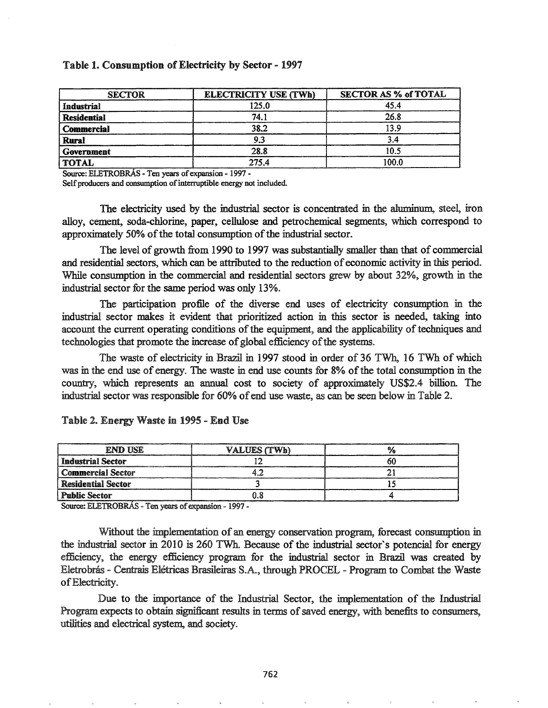#### Table 1. Consumption of Electricity by Sector - 1997

| <b>SECTOR</b>      | <b>ELECTRICITY USE (TWh)</b> | <b>SECTOR AS % of TOTAL</b> |
|--------------------|------------------------------|-----------------------------|
| Industrial         | 125.0                        | 45.4                        |
| <b>Residential</b> | 74.1                         | 26.8                        |
| Commercial         | 38.2                         | 13.9                        |
| Rural              | 9.3                          | 3.4                         |
| Government         | 28.8                         | 10.5                        |
| <b>TOTAL</b>       | 275.4                        | 100.0                       |

Source: ELETROBRÁS - Ten years of expansion - 1997 -

Self producers and consumption of interruptible energy not included.

The electricity used by the industrial sector is concentrated in the aluminum, steel, iron alloy, cement, soda-chlorine, paper, cellulose and petrochemical segments, which correspond to approximately 50% of the total consumption of the industrial sector.

The level of growth from 1990 to 1997 was substantially smaller than that of commercial and residential sectors, which can be attributed to the reduction of economic activity in this period. While consumption in the commercial and residential sectors grew by about 32%, growth in the industrial sector for the same period was only 13%.

The participation profile of the diverse end uses of electricity consumption in the industrial sector makes it evident that prioritized action in this sector is needed, taking into account the current operating conditions of the equipment, and the applicability of techniques and technologies that promote the increase of global efficiency of the systems.

The waste of electricity in Brazil in 1997 stood in order of 36 TWh, 16 TWh of which was in the end use of energy. The waste in end use counts for 8% of the total consumption in the country, which represents an annual cost to society of approximately US\$2.4 billion. The industrial sector was responsible for 60% of end use waste, as can be seen below in Table 2.

| <b>END USE</b>            | VALUES (TWh) |  |
|---------------------------|--------------|--|
| Industrial Sector         |              |  |
| l Commercial Sector       |              |  |
| <b>Residential Sector</b> |              |  |
| <b>Public Sector</b>      |              |  |

#### Table 2. Energy Waste in 1995 - End Use

Source: ELETROBRÁS - Ten years of expansion - 1997 -

Without the implementation of an energy conservation program, forecast consumption in the industrial sector in 2010 is 260 TWh. Because of the industrial sector's potencial for energy efficiency, the energy efficiency program for the industrial sector in Brazil was created by Eletrobrás - Centrais Elétricas Brasileiras S.A., through PROCEL - Program to Combat the Waste of Electricity.

Due to the importance of the Industrial Sector, the implementation of the Industrial Program expects to obtain significant results in terms of saved energy, with benefits to consumers, utilities and electrical system, and society.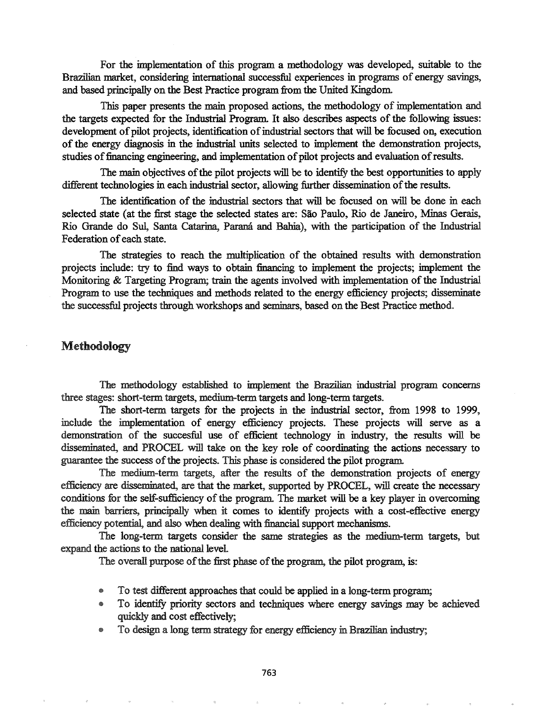For the implementation of this program a methodology was developed, suitable to the Brazilian market, considering international successful experiences in programs of energy savings, and based principally on the Best Practice program from the United Kingdom.

This paper presents the main proposed actions, the methodology of implementation and the targets expected for the Industrial Program. It also describes aspects of the following issues: development of pilot projects, identification of industrial sectors that will be focused on, execution ofthe energy diagnosis in the industrial units selected to implement the demonstration projects, studies of financing engineering, and implementation of pilot projects and evaluation of results.

The main objectives of the pilot projects will be to identify the best opportunities to apply different technologies in each industrial sector, allowing further dissemination of the results.

The identification of the industrial sectors that will be focused on will be done in each selected state (at the first stage the selected states are: Sao Paulo, Rio de Janeiro, Minas Gerais, Rio Grande do Sui, Santa Catarina, parana and Bahia), with the participation of the Industrial Federation of each state.

The strategies to reach the multiplication of the obtained results with demonstration projects include: try to find ways to obtain financing to implement the projects; implement the Monitoring & Targeting Program; train the agents involved with implementation of the Industrial Program to use the techniques and methods related to the energy efficiency projects; disseminate the successful projects through workshops and seminars, based on the Best Practice method..

### Methodology

The methodology established to implement the Brazilian industrial program concerns three stages: short-term targets, medium-term targets and long-term targets.

The short-term targets for the projects in the industrial sector, from 1998 to 1999, include the implementation of energy efficiency projects.. These projects will serve as a demonstration of the succesful use of efficient technology in industry, the results will be disseminated, and PROCEL will take on the key role of coordinating the actions necessary to guarantee the success of the projects. This phase is considered the pilot program.

The medium-term targets, after the results of the demonstration projects of energy efficiency are disseminated, are that the market, supported by PROCEL, will create the necessary conditions for the self-sufficiency of the program. The market will be a key player in overcoming the main barriers, principally when it comes to identify projects with a cost-effective energy efficiency potential, and also when dealing with financial support mechanisms.

The long-term targets consider the same strategies as the medium-term targets, but expand the actions to the national level

The overall purpose of the first phase of the program, the pilot program, is:

- To test different approaches that could be applied in a long-term program;
- To identify priority sectors and techniques where energy savings may be achieved quickly and cost effectively;
- e To design a long term strategy for energy efficiency in Brazilian industry;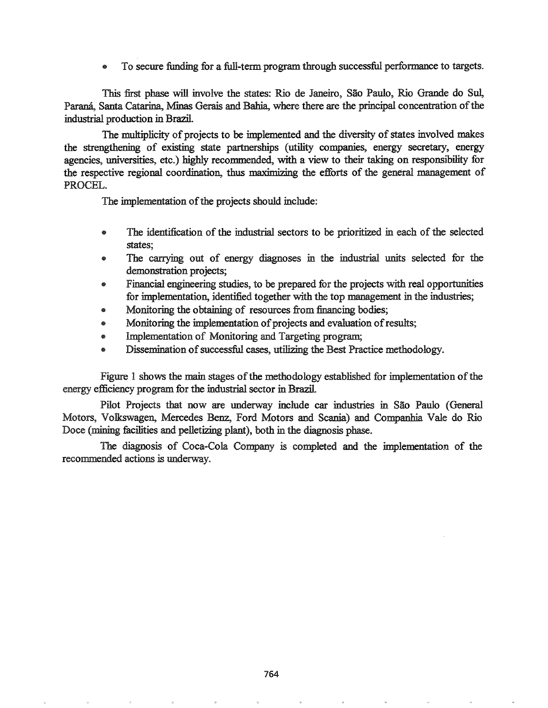• To secure funding for a full-term program through successful performance to targets..

This first phase will involve the states: Rio de Janeiro, Sao Paulo, Rio Grande do SuI, Paraná, Santa Catarina, Minas Gerais and Bahia, where there are the principal concentration of the industrial production in Brazil.

The multiplicity of projects to be implemented and the diversity of states involved makes the strengthening of existing state partnerships (utility companies, energy secretary, energy agencies, universities, etc.) highly recommended, with a view to their taking on responsibility for the respective regional coordination, thus maximizing the efforts of the general management of PROCEL.

The implementation of the projects should include:

- The identification of the industrial sectors to be prioritized in each of the selected states;
- The carrying out of energy diagnoses in the industrial units selected for the demonstration projects;
- Financial engineering studies, to be prepared for the projects with real opportunities for implementation, identified together with the top management in the industries;
- Monitoring the obtaining of resources from financing bodies;
- Monitoring the implementation of projects and evaluation of results;
- Implementation of Monitoring and Targeting program;
- Dissemination of successful cases, utilizing the Best Practice methodology.

Figure 1 shows the main stages of the methodology established for implementation of the energy efficiency program for the industrial sector in Brazil

Pilot Projects that now are underway include car industries in São Paulo (General Motors, Volkswagen, Mercedes Benz, Ford Motors and Scania) and Companhia Vale do Rio Doce (mining facilities and pelletizing plant), both in the diagnosis phase.

The diagnosis of Coca-Cola Company is completed and the implementation of the recommended actions is underway..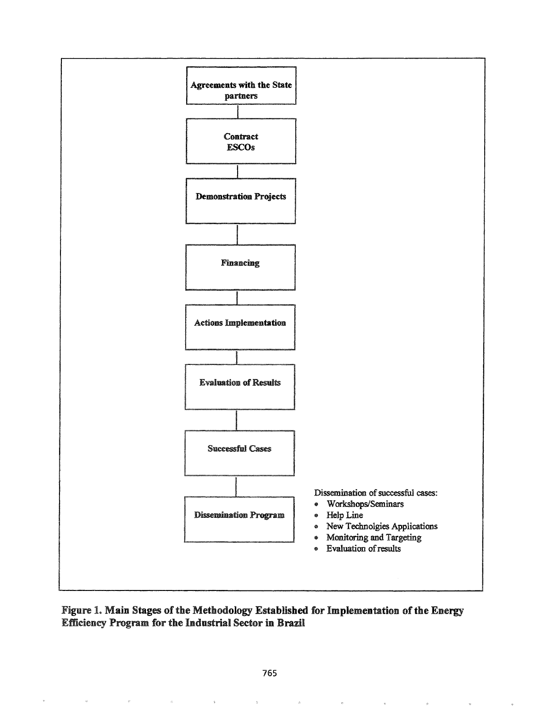



k.

 $\bar{u}$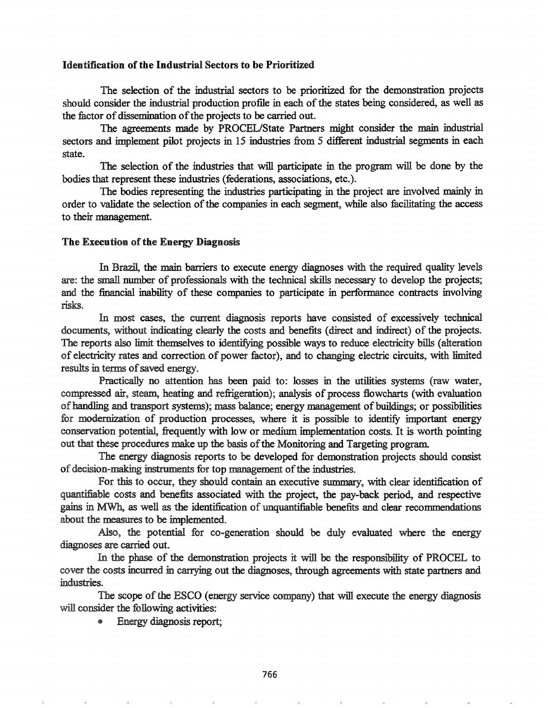#### Identification of the Industrial Sectors to be Prioritized

The selection of the industrial sectors to be prioritized for the demonstration projects should consider the industrial production profile in each of the states being considered, as well as the factor of dissemination of the projects to be carried out.

The agreements made by PROCEL/State Partners might consider the main industrial sectors and implement pilot projects in 15 industries from 5 different industrial segments in each state.

The selection of the industries that will participate in the program will be done by the bodies that represent these industries (federations, associations, etc.).

The bodies representing the industries participating in the project are involved mainly in order to validate the selection of the companies in each segment, while also facilitating the access to their management..

#### The Execution of the Energy Diagnosis

In Brazil, the main barriers to execute energy diagnoses with the required quality levels are: the small number of professionals with the technical skills necessary to develop the projects; and the financial inability of these companies to participate in performance contracts involving risks.

In most cases, the current diagnosis reports have consisted of excessively technical documents, without indicating clearly the costs and benefits (direct and indirect) of the projects. The reports also limit themselves to identifying possible ways to reduce electricity bills (alteration of electricity rates and correction of power factor), and to changing electric circuits, with limited results in terms of saved energy.

Practically no attention has been paid to: losses in the utilities systems (raw water, compressed air, steam., heating and refrigeration); analysis of process flowcharts (with evaluation of handling and transport systems); mass balance; energy management of buildings; or possibilities for modernization of production processes, where it is possible to identify important energy conservation potential, frequently with low or medium implementation costs. It is worth pointing out that these procedures make up the basis of the Monitoring and Targeting program.

The energy diagnosis reports to be developed for demonstration projects should consist of decision-making instruments for top management of the industries.

For this to occur, they should contain an executive summary, with clear identification of quantifiable costs and benefits associated with the project, the pay-back period, and respective gains in MWh, as well as the identification of unquantifiable benefits and clear recommendations about the measures to be implemented.

Also, the potential for co-generation should be duly evaluated where the energy diagnoses are carried out.

In the phase of the demonstration projects it will be the responsibility of PROCEL to cover the costs incurred in carrying out the diagnoses, through agreements with state partners and industries.. '

The scope ofthe ESCO (energy service company) that will execute the energy diagnosis will consider the following activities:

• Energy diagnosis report;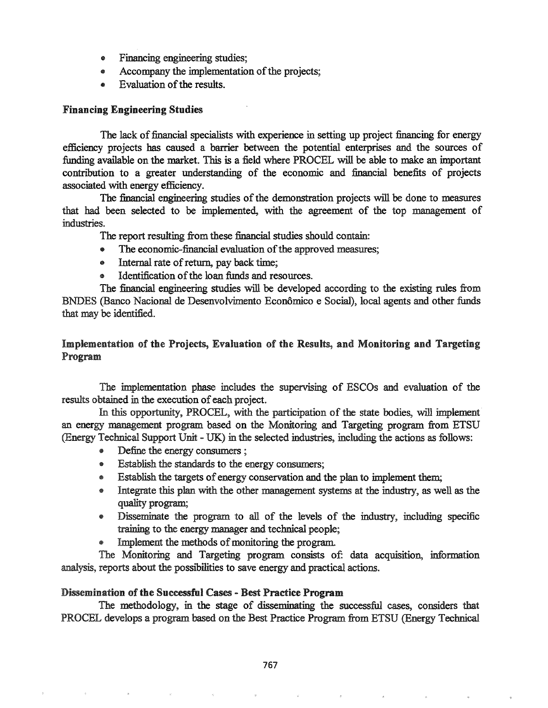- Financing engineering studies;
- Accompany the implementation of the projects;
- Evaluation of the results.

### Financing Engineering Studies

The lack of financial specialists with experience in setting up project financing for energy efficiency projects has caused a barrier between the potential enterprises and the sources of funding available on the market. This is a field where PROCEL will be able to make an important contribution to a greater understanding of the economic and financial benefits of projects associated with energy efficiency.

The financial engineering studies of the demonstration projects will be done to measures that had been selected to be implemented, with the agreement of the top management of industries.

The report resulting from these financial studies should contain:

- The economic-financial evaluation of the approved measures;
- Internal rate of return, pay back time;
- $\bullet$  Identification of the loan funds and resources.

The financial engineering studies will be developed according to the existing rules from BNDES (Banco Nacional de Desenvolvimento Economico e Social), local agents and other funds that may be identified.

# Implementation of the Projects, Evaluation of the Results, and Monitoring and Targeting Program

The implementation phase includes the supervising of ESCOs and evaluation of the results obtained in the execution of each project.

In this opportunity, PROCEL, with the participation of the state bodies, will implement an energy management program based on the Monitoring and Targeting program from ETSU (Energy Technical Support Unit - UK) in the selected industries, including the actions as follows:

- ® Define the energy consumers;
- @ Establish the standards to the energy consumers;
- **Establish the targets of energy conservation and the plan to implement them;**
- Integrate this plan with the other management systems at the industry, as well as the quality program;
- Disseminate the program to all of the levels of the industry, including specific training to the energy manager and technical people;
- Implement the methods of monitoring the program.

The Monitoring and Targeting program consists of: data acquisition, information analysis, reports about the possibilities to save energy and practical actions.

### Dissemination of the Successful Cases - Best Practice Program

The methodology, in the stage of disseminating the successful cases, considers that PROCEL develops a program based on the Best Practice Program from ETSU (Energy Technical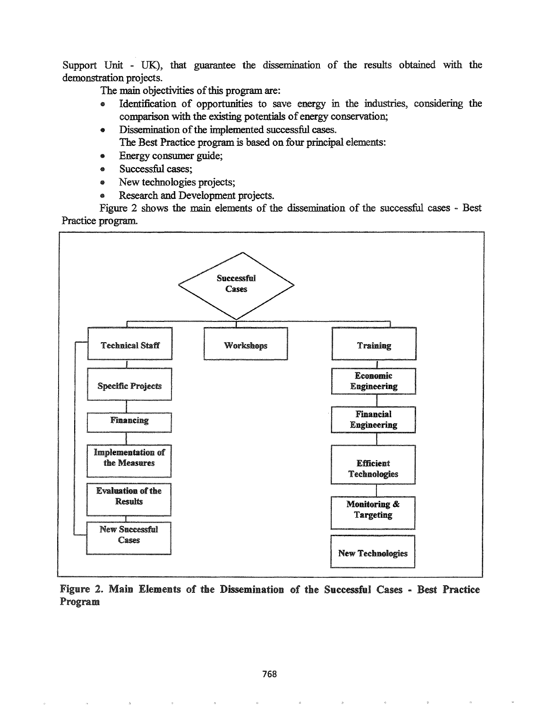Support Unit - UK), that guarantee the dissemination of the results obtained with the demonstration projects.

The main objectivities of this program are:

- @ Identification of opportunities to save energy in the industries, considering the comparison with the existing potentials of energy conservation;
- Dissemination of the implemented successful cases.

The Best Practice program is based on four principal elements:

- Energy consumer guide;
- Successful cases;
- New technologies projects;
- Research and Development projects.

Figure 2 shows the main elements of the dissemination of the successful cases - Best Practice program.



Figure 2. Main Elements of the Dissemination of the Successful Cases - Best Practice Program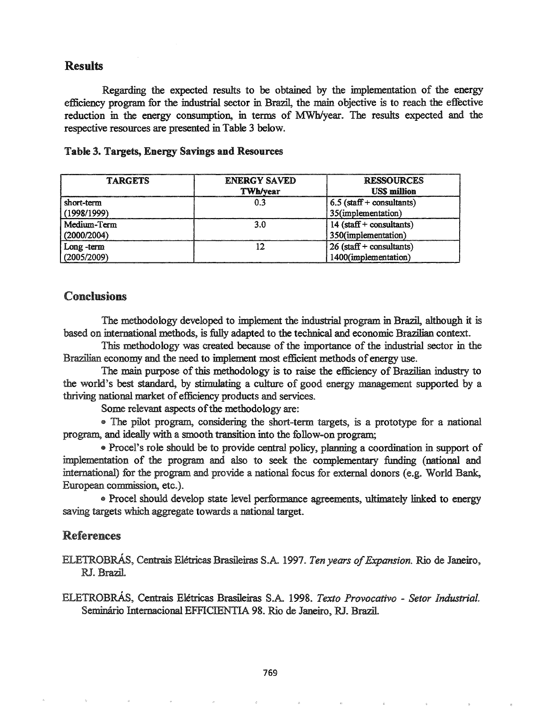# Results

Regarding the expected results to be obtained by the implementation of the energy efficiency program for the industrial sector in Brazil, the main objective is to reach the effective reduction in the energy consumption, in terms of MWh/year. The results expected and the respective resources are presented in Table 3 below.

| <b>TARGETS</b> | <b>ENERGY SAVED</b><br><b>TWh/vear</b> | <b>RESSOURCES</b><br><b>USS million</b> |
|----------------|----------------------------------------|-----------------------------------------|
| short-term     | 0.3                                    | $6.5$ (staff + consultants)             |
| (1998/1999)    |                                        | 35(implementation)                      |
| Medium-Term    | 3.0                                    | $14$ (staff + consultants)              |
| (2000/2004)    |                                        | 350(implementation)                     |
| Long-term      |                                        | $26$ (staff + consultants)              |
| (2005/2009)    |                                        | 1400(implementation)                    |

#### Table 3. Targets, Energy Savings and Resources

### Conclusions

The methodology developed to implement the industrial program in Brazil, although it is based on international methods, is fully adapted to the technical and economic Brazilian context.

This methodology was created because of the importance of the industrial sector in the Brazilian economy and the need to implement most efficient methods ofenergy use.

The main purpose of this methodology is to raise the efficiency of Brazilian industry to the world's best standard, by stimulating a culture of good energy management supported by a thriving national market of efficiency products and services.

Some relevant aspects of the methodology are:

• The pilot program, considering the short-term targets, is a prototype for a national program, and ideally with a smooth transition into the follow-on program.;

4& Proce!'s role should be to provide central policy, planning a coordination in support of implementation of the program and also to seek the complementary fimding (national and international) for the program and provide a national focus for external donors (e.g. World Bank, European commission, etc.).

• Procel should develop state level performance agreements, ultimately linked to energy saving targets which aggregate towards a national target.

## References

ELETROBRÁS, Centrais Elétricas Brasileiras S.A. 1997. *Ten years of Expansion*. Rio de Janeiro, RJ. Brazil.

ELETROBRAs, Centrais Eletricas Brasileiras S.A~ 1998. *Texto Provocativo* - *Setor IndustriaL* Seminário Internacional EFFICIENTIA 98. Rio de Janeiro, RJ. Brazil.